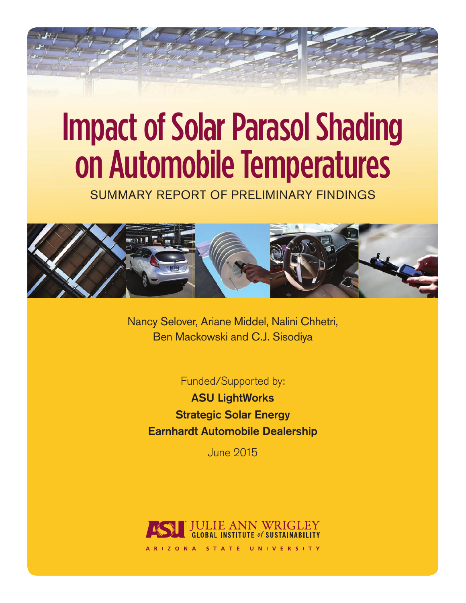# Impact of Solar Parasol Shading on Automobile Temperatures

SUMMARY REPORT OF PRELIMINARY FINDINGS



Nancy Selover, Ariane Middel, Nalini Chhetri, Ben Mackowski and C.J. Sisodiya

Funded/Supported by:

ASU LightWorks Strategic Solar Energy Earnhardt Automobile Dealership

June 2015

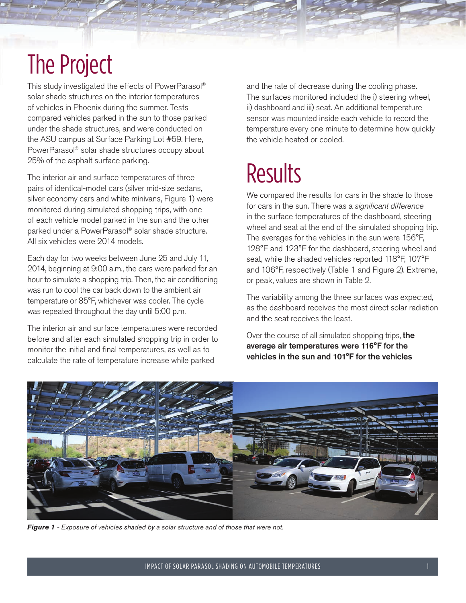## The Project

This study investigated the effects of PowerParasol® solar shade structures on the interior temperatures of vehicles in Phoenix during the summer. Tests compared vehicles parked in the sun to those parked under the shade structures, and were conducted on the ASU campus at Surface Parking Lot #59. Here, PowerParasol® solar shade structures occupy about 25% of the asphalt surface parking.

The interior air and surface temperatures of three pairs of identical-model cars (silver mid-size sedans, silver economy cars and white minivans, Figure 1) were monitored during simulated shopping trips, with one of each vehicle model parked in the sun and the other parked under a PowerParasol® solar shade structure. All six vehicles were 2014 models.

Each day for two weeks between June 25 and July 11, 2014, beginning at 9:00 a.m., the cars were parked for an hour to simulate a shopping trip. Then, the air conditioning was run to cool the car back down to the ambient air temperature or 85°F, whichever was cooler. The cycle was repeated throughout the day until 5:00 p.m.

The interior air and surface temperatures were recorded before and after each simulated shopping trip in order to monitor the initial and final temperatures, as well as to calculate the rate of temperature increase while parked

and the rate of decrease during the cooling phase. The surfaces monitored included the i) steering wheel, ii) dashboard and iii) seat. An additional temperature sensor was mounted inside each vehicle to record the temperature every one minute to determine how quickly the vehicle heated or cooled.

# **Results**

We compared the results for cars in the shade to those for cars in the sun. There was a significant difference in the surface temperatures of the dashboard, steering wheel and seat at the end of the simulated shopping trip. The averages for the vehicles in the sun were 156°F, 128°F and 123°F for the dashboard, steering wheel and seat, while the shaded vehicles reported 118°F, 107°F and 106°F, respectively (Table 1 and Figure 2). Extreme, or peak, values are shown in Table 2.

The variability among the three surfaces was expected, as the dashboard receives the most direct solar radiation and the seat receives the least.

Over the course of all simulated shopping trips, the average air temperatures were 116°F for the vehicles in the sun and 101°F for the vehicles



*Figure 1 - Exposure of vehicles shaded by a solar structure and of those that were not.*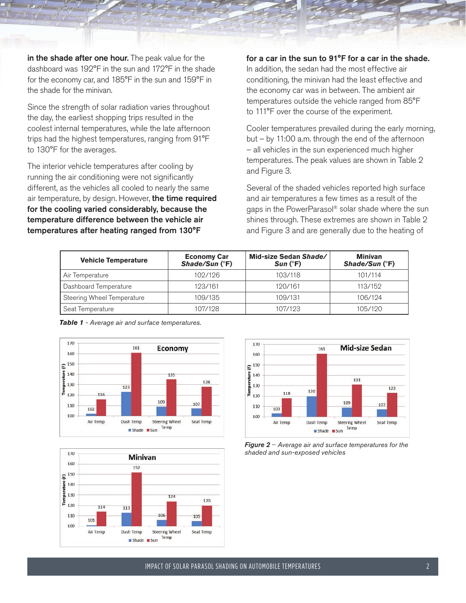in the shade after one hour. The peak value for the dashboard was 192°F in the sun and 172°F in the shade for the economy car, and 185°F in the sun and 159°F in the shade for the minivan.

Since the strength of solar radiation varies throughout the day, the earliest shopping trips resulted in the coolest internal temperatures, while the late afternoon trips had the highest temperatures, ranging from 91°F to 130°F for the averages.

The interior vehicle temperatures after cooling by running the air conditioning were not significantly different, as the vehicles all cooled to nearly the same air temperature, by design. However, the time required for the cooling varied considerably, because the temperature difference between the vehicle air temperatures after heating ranged from 130°F

#### for a car in the sun to 91°F for a car in the shade.

In addition, the sedan had the most effective air conditioning, the minivan had the least effective and the economy car was in between. The ambient air temperatures outside the vehicle ranged from 85°F to 111°F over the course of the experiment.

Cooler temperatures prevailed during the early morning, but – by 11:00 a.m. through the end of the afternoon – all vehicles in the sun experienced much higher temperatures. The peak values are shown in Table 2 and Figure 3.

Several of the shaded vehicles reported high surface and air temperatures a few times as a result of the gaps in the PowerParasol® solar shade where the sun shines through. These extremes are shown in Table 2 and Figure 3 and are generally due to the heating of

| <b>Vehicle Temperature</b> | <b>Economy Car</b><br>Shade/Sun (°F) | Mid-size Sedan Shade/<br>$Sun$ ( $\degree$ F) | <b>Minivan</b><br>Shade/Sun (°F) |
|----------------------------|--------------------------------------|-----------------------------------------------|----------------------------------|
| Air Temperature            | 102/126                              | 103/118                                       | 101/114                          |
| Dashboard Temperature      | 123/161                              | 120/161                                       | 113/152                          |
| Steering Wheel Temperature | 109/135                              | 109/131                                       | 106/194                          |
| Seat Temperature           | 107/128                              | 107/123                                       | 105/120                          |









*Figure 2* – *Average air and surface temperatures for the shaded and sun-exposed vehicles*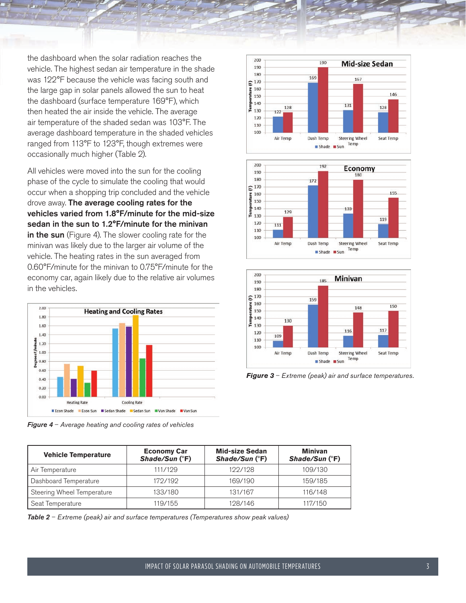the dashboard when the solar radiation reaches the vehicle. The highest sedan air temperature in the shade was 122°F because the vehicle was facing south and the large gap in solar panels allowed the sun to heat the dashboard (surface temperature 169°F), which then heated the air inside the vehicle. The average air temperature of the shaded sedan was 103°F. The average dashboard temperature in the shaded vehicles ranged from 113°F to 123°F, though extremes were occasionally much higher (Table 2).

All vehicles were moved into the sun for the cooling phase of the cycle to simulate the cooling that would occur when a shopping trip concluded and the vehicle drove away. The average cooling rates for the vehicles varied from 1.8°F/minute for the mid-size sedan in the sun to 1.2°F/minute for the minivan in the sun (Figure 4). The slower cooling rate for the minivan was likely due to the larger air volume of the vehicle. The heating rates in the sun averaged from 0.60°F/minute for the minivan to 0.75°F/minute for the economy car, again likely due to the relative air volumes in the vehicles.



*Figure 4* – *Average heating and cooling rates of vehicles*







*Figure 3* – *Extreme (peak) air and surface temperatures.*

| <b>Vehicle Temperature</b> | <b>Economy Car</b><br>Shade/Sun (°F) | <b>Mid-size Sedan</b><br>Shade/Sun (°F) | <b>Minivan</b><br>Shade/Sun (°F) |
|----------------------------|--------------------------------------|-----------------------------------------|----------------------------------|
| Air Temperature            | 111/199                              | 199/198                                 | 109/130                          |
| Dashboard Temperature      | 179/199                              | 169/190                                 | 159/185                          |
| Steering Wheel Temperature | 133/180                              | 131/167                                 | 116/148                          |
| Seat Temperature           | 119/155                              | 198/146                                 | 117/150                          |

*Table 2* – *Extreme (peak) air and surface temperatures (Temperatures show peak values)*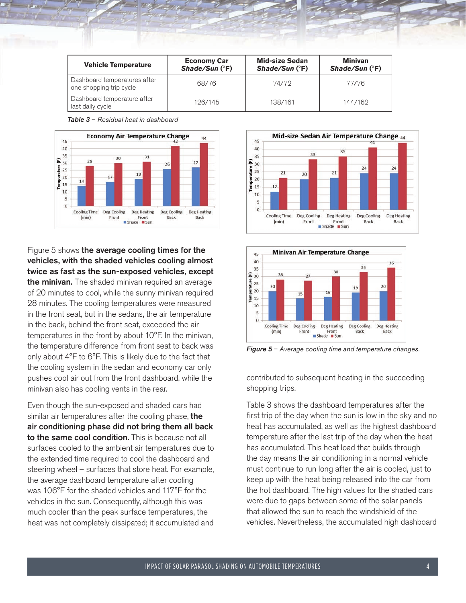| <b>Vehicle Temperature</b>                              | <b>Economy Car</b><br>Shade/Sun (°F) | <b>Mid-size Sedan</b><br>Shade/Sun (°F) | <b>Minivan</b><br>Shade/Sun $(^{\circ}F)$ |
|---------------------------------------------------------|--------------------------------------|-----------------------------------------|-------------------------------------------|
| Dashboard temperatures after<br>one shopping trip cycle | 68/76                                | 74/72                                   | 77/76                                     |
| Dashboard temperature after<br>last daily cycle         | 126/145                              | 138/161                                 | 144/162                                   |

*Table 3* – *Residual heat in dashboard*



Figure 5 shows the average cooling times for the vehicles, with the shaded vehicles cooling almost twice as fast as the sun-exposed vehicles, except the minivan. The shaded minivan required an average of 20 minutes to cool, while the sunny minivan required 28 minutes. The cooling temperatures were measured in the front seat, but in the sedans, the air temperature in the back, behind the front seat, exceeded the air temperatures in the front by about 10°F. In the minivan, the temperature difference from front seat to back was only about 4°F to 6°F. This is likely due to the fact that the cooling system in the sedan and economy car only pushes cool air out from the front dashboard, while the minivan also has cooling vents in the rear.

Even though the sun-exposed and shaded cars had similar air temperatures after the cooling phase, the air conditioning phase did not bring them all back to the same cool condition. This is because not all surfaces cooled to the ambient air temperatures due to the extended time required to cool the dashboard and steering wheel – surfaces that store heat. For example, the average dashboard temperature after cooling was 106°F for the shaded vehicles and 117°F for the vehicles in the sun. Consequently, although this was much cooler than the peak surface temperatures, the heat was not completely dissipated; it accumulated and





*Figure 5* – *Average cooling time and temperature changes.*

contributed to subsequent heating in the succeeding shopping trips.

Table 3 shows the dashboard temperatures after the first trip of the day when the sun is low in the sky and no heat has accumulated, as well as the highest dashboard temperature after the last trip of the day when the heat has accumulated. This heat load that builds through the day means the air conditioning in a normal vehicle must continue to run long after the air is cooled, just to keep up with the heat being released into the car from the hot dashboard. The high values for the shaded cars were due to gaps between some of the solar panels that allowed the sun to reach the windshield of the vehicles. Nevertheless, the accumulated high dashboard